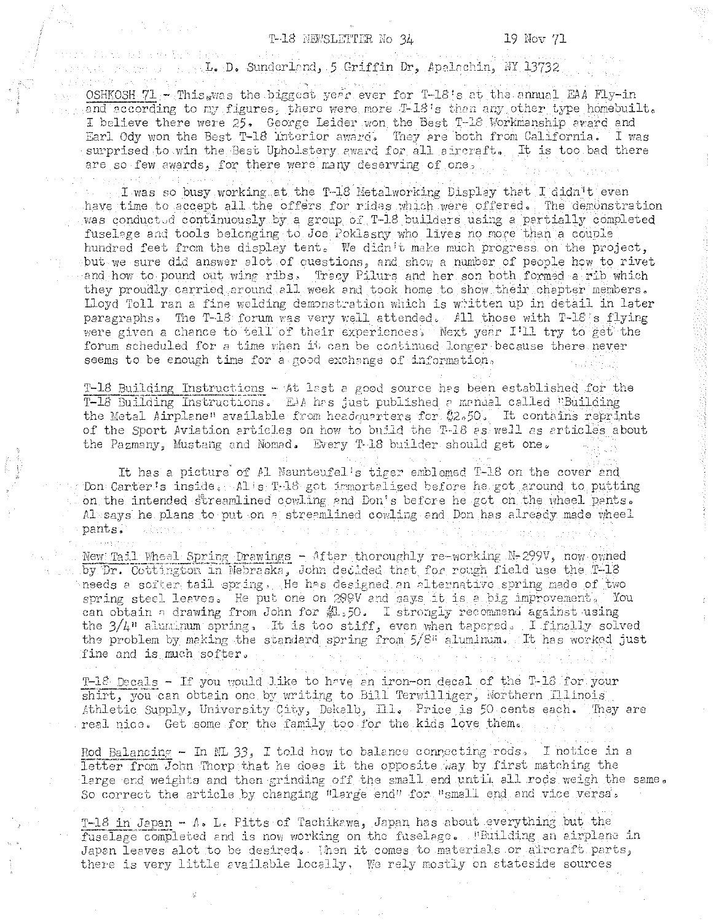## T-18 NEWSLETTER No 34

. D. Sunderland, 5 Griffin Dr, Apalachin, NY 13732

OSHKOSH 71 - This was the biggest year ever for T-18's at the annual EAA Fly-in and according to my figures, there were more T-18's than any other type homebuilt. I believe there were 25. George Leider won the Best T-18 Workmanship award and Earl Ody won the Best T-18 Interior award. They are both from California. I was surprised to win the Best Upholstery award for all aircraft. It is too bad there are so few awards, for there were many deserving of one,

I was so busy working at the T-18 Metalworking Display that I didn't even have time to accept all the offers for rides which were offered. The demonstration was conducted continuously by a group of T-18 builders using a pertially completed fuselage and tools belonging to Joe Poklasny who lives no more than a couple hundred feet from the display tent. We didn't make much progress on the project, but we sure did answer alot of cuestions, and show a number of people how to rivet and how to pound out wing ribs, Tracy Pilurs and her son both formed a rib which they proudly carried around all week and took home to show their chapter members. Lloyd Toll ran a fine welding demonstration which is written up in detail in later paragraphs. The T-18 forum was very well attended. All those with T-18 s flying were given a chance to tell of their experiences. Next year I'll try to get the forum scheduled for a time when it can be continued longer because there never seems to be enough time for a good exchange of information.

T-18 Building Instructions - 4t last a good source has been established for the T-18 Building Instructions. EAA has just published a manual called "Building the Metal Airplane" available from headquarters for \$2.50. It contains reprints of the Sport Aviation articles on how to build the T-18 as well as articles about the Pazmany, Mustang and Nomad. Every T-18 builder should get one.

It has a picture of Al Neunteufel's tiger emblemed T-18 on the cover and Don Carter's inside. Als T-18 got immortalized before he got around to putting on the intended streamlined cowling and Don's before he got on the wheel pants. Alsays he plans to put on a streamlined cowling and Don has already made wheel pants. 1. 法行业主义人

New Tail Wheel Spring Drawings - After thoroughly re-working N-299V, now owned by Dr. Cottington in Nebraska, John decided that for rough field use the T-18 needs a softer tail spring. He has designed an alternative spring made of two spring steel leaves. He put one on 200V and says it is a big improvement. You can obtain a drawing from John for  $M_{50}$ . I strongly recommend against using the  $3/4$ " aluminum spring. It is too stiff, even when tapered. I finally solved the problem by making the standard spring from 5/8" aluminum. It has worked just fine and is much softer.

T-18 Decals - If you would like to have an iron-on decal of the T-18 for your shirt, you can obtain one by writing to Bill Terwilliger, Northern Illinois Athletic Supply, University City, Dekalb, Ill. Price is 50 cents each. They are real nice. Get some for the family too for the kids love them.

Rod Balancing - In NL 33, I told how to balance connecting rods. I notice in a letter from John Thorp that he does it the opposite way by first matching the large end weights and then grinding off the small end until all rods weigh the same. So correct the article by changing "large end" for "small end and vice versa.

T-18 in Japan - A. L. Pitts of Tachikawa, Japan has about everything but the fuselage completed and is now working on the fuselage. PBuilding an airplane in Japan leaves alot to be desired. Then it comes to materials or aircraft parts, there is very little available locally. We rely mostly on stateside sources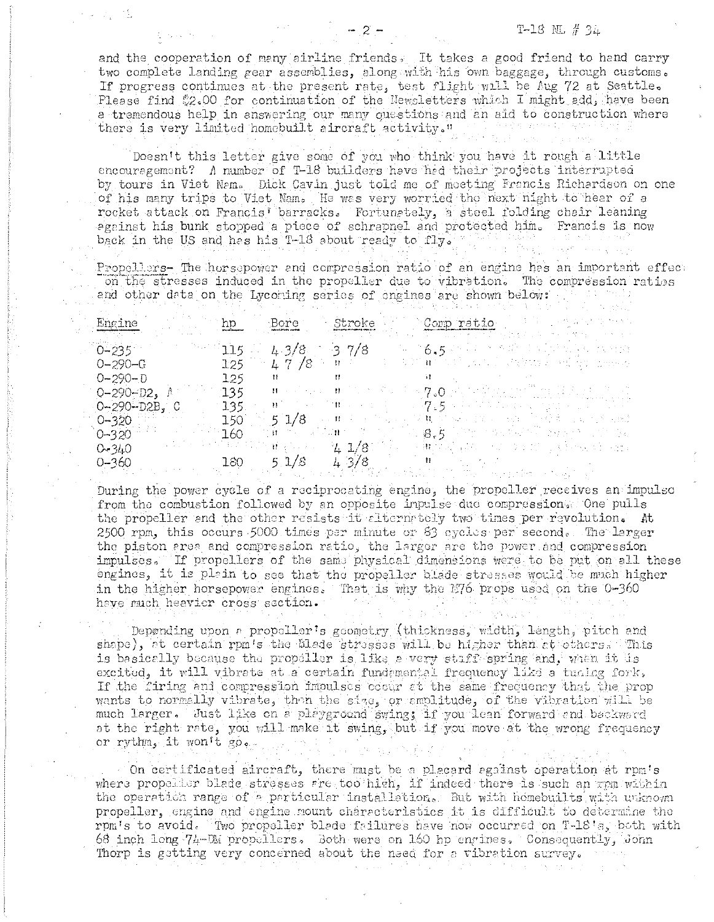and the cooperation of many airline friends. It takes a good friend to hand carry two complete landing gear assemblies, along with his own baggage, through customs. If progress continues at the present rate, test flight will be Aug 72 at Seattle. Please find #2.00 for continuation of the Newsletters which I might add, have been a tremendous help in answering our many questions and an aid to construction where there is very limited homebuilt aircraft activity."

Doesn't this letter give some of you who think you have it rough a little encouragement? A number of T-18 builders have had their projects interrupted by tours in Viet Nem. Dick Cavin just told me of moeting Francis Richardson on one of his many trips to Viet Nam. He was very worried the next hight to hear of a rocket attack on Francis' barracks. Fortunately, a steel folding chair leaning against his bunk stopped a piece of schrapnel and protected him. Francis is now back in the US and has his T-18 about ready to fly.

Propellers- The horsepower and compression ratio of an engine has an important effect on the stresses induced in the propeller due to vibration. The compression ratios and other data on the Lycoring series of engines are shown below:

| Engine            |                  | Bore            |              | Comp ratio<br>이번 그는 선고 달아 정 학생이                                                                                                 |
|-------------------|------------------|-----------------|--------------|---------------------------------------------------------------------------------------------------------------------------------|
| $0 - 235$         | 115.             | 4.3/8           | $-37/8$      | $-6.5$                                                                                                                          |
| $0 - 290 - G$     | 125              | $-47/8$         | $\mathbf{H}$ |                                                                                                                                 |
| $O-29O-D$         | 125              |                 | $\mathbf{H}$ |                                                                                                                                 |
| $0 - 290 - D2$    | 135 <sub>1</sub> | メント・ランド ほうしゃ    |              | $\mathcal{A} \times \mathcal{A} \times \mathcal{B} \times \mathcal{O} \times \mathcal{A} \times \mathcal{A} \times \mathcal{A}$ |
| $0 - 290 - D2B$ , | $135 -$          |                 |              | $\sim7.5$ mass and                                                                                                              |
| $0 - 320$         | 150.             | $5 \frac{1}{8}$ |              | 其中的 经工资的 计三极的                                                                                                                   |
| $0 - 320$         | 7.60.            |                 |              | $1.88\pm 5$ . We have seen the consent with                                                                                     |
| 0.340             |                  |                 | $-4.1/8$     | → 推つ 長い はない<br>12. 医下颌的 医主要性细胞体炎 计连接机                                                                                           |
| $0 - 360$         | 180              | 5.1/8           | 4.3/8        |                                                                                                                                 |

During the power cycle of a reciprocating engine, the propeller receives an impulso from the combustion followed by an opposite inpulse due compression. One pulls the propeller and the other resists it alternately two times per revolution. At 2500 rpm, this occurs 5000 times per minute or 83 cycles per second. The larger the piston area and compression ratio, the larger are the power and compression impulses. If propellers of the same physical dimensions were to be put on all these engines, it is plain to see that the propeller blade stresses would be much higher in the higher horsepower engines. That is why the 176 props used on the 0-360 have much heavier cross section.

Depending upon a propollor's geometry (thickness, width, length, pitch and shape), at certain rpm's the blade stresses will be higher than at others. This is basically because the propeller is like a very staff spring and, when it is excited, it will vibrate at a certain fundamental frequency like a tuning fork, If the firing and compression impulses cocur at the same frequency that the prop wants to normally vibrate, then the size, or amplitude, of the vibration will be much larger, Just like on a playground swing; if you lean forward and backward at the right rate, you will make it swing, but if you move at the wrong frequency or rythm, it won't go.

On certificated aircraft, there must be a placard against operation at rpm's where propeller blade stresses are too high, if indeed there is such an apm within the operation range of a particular installation. But with homebuilts with unknown propeller, engine and engine mount characteristics it is difficult to determine the rpm's to avoid. Two propeller blede failures have now occurred on T-18's, both with 68 inch long 74-DM propellers. Both were on 160 hp engines. Consequently, John Thorp is getting very concerned about the need for a vibration survey.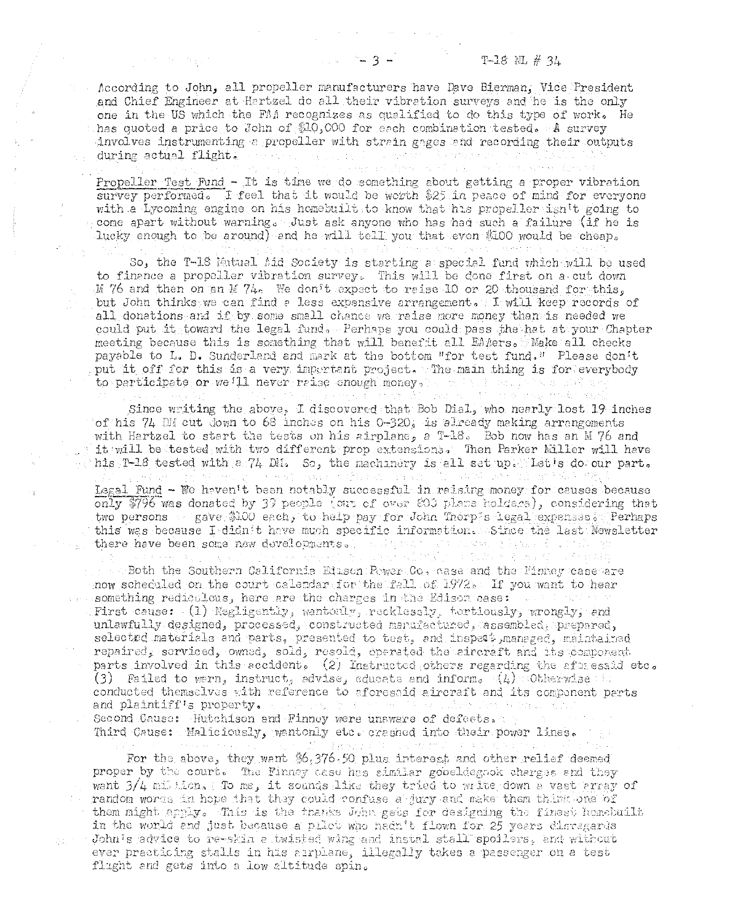According to John, all propeller manufacturers have Dave Bierman, Vice President and Chief Engineer at Hartzel do all their vibration surveys and he is the only one in the US which the FAA recognizes as qualified to do this type of work. He has quoted a price to John of \$10,000 for each combination tested. A survey involves instrumenting a propeller with strain gages and recording their outputs during actual flight.

Propeller Test Fund - It is time we do something about getting a proper vibration survey performed. I feel that it would be worth \$25 in peace of mind for everyone with a Lycoming engine on his homebuilt to know that his propeller isn't going to come apart without warning. Just ask anyone who has had such a failure (if he is lucky enough to be around) and he will tell you that even \$100 would be cheap.

So, the T-18 Mutual Aid Society is starting a special fund which will be used to finance a propeller vibration survey. This will be done first on a cut down M 76 and then on an M 74. We don't expect to raise 10 or 20 thousand for this, but John thinks we can find a less expensive arrangement. I will keep records of all donations and if by some small chance we raise more money than is needed we could put it toward the legal fund. Perhaps you could pass the hat at your Chapter meeting because this is something that will benefit all EAMers. Make all checks payable to L. D. Sunderland and mark at the bottom "for test fund." Please don't put it off for this is a very important project. The main thing is for everybody to participate or we'll never raise enough money, - 地下入口 - 地元1

Since writing the above, I discovered that Bob Dial, who nearly lost 19 inches of his 74 DM cut down to 68 inches on his 0-320, is already making arrangements with Hartzel to start the tests on his airplane, a T-18. Bob now has an M 76 and it will be tested with two different prop extensions. Then Parker Miller will have his T-18 tested with a 74 DM. So, the machinery is all set up. Let's do our part. Legal Fund - We haven't been notably successful in raising money for causes because only \$796 was donated by 39 people (out of over 803 plans holders), considering that two persons a gave \$100 each, to help pay for John Thorp salegal expenses. Perhaps this was because I didn't have much specific information. Since the last Newsletter there have been some new developments. I allow that the movement present (1) 放动 (8) 等 (n) (7)

 $\sim$  Both the Southern California Eduson Power Co, case and the Finney case are now scheduled on the court calendar for the fall of 1972. If you want to hear something redioulous, here are the charges in the Edison case: we are the set First cause: (1) Negligently, wantonly, recklessly, tortiously, wrongly, and unlawfully designed, processed, constructed manufactured, assembled, prepared, selected materials and parts, presented to test, and inspect managed, maintained repaired, serviced, owned, sold, resold, operated the aircraft and its component parts involved in this accident. (2) Instructed others regarding the aftressed etc. (3) Failed to warn, instruct, advise, educate and inform.  $(4)$  Otherwise conducted themselves with reference to aforesaid aircraft and its component parts and plaintiff's property. standard control Second Cause: Hutchison and Finney were unaware of defects, Third Cause: Maliciously, wantonly etc. crasned into their power lines.

For the above, they want \$6,376.50 plus interest and other relief deemed proper by the court. The Finney case has similar goodldegook charges and they want  $3/4$  million. To me, it sounds like they tried to write down a vast array of random words in hope that they could confuse a jury and make them think one of them might apply. This is the thanks John gets for designing the finest homebuilt in the world and just because a pilot who hadn't flown for 25 years disregards John's advice to re-skin a twisted wing and instal stall spoilers, and without ever practicing stalls in his arriane, illegally takes a passenger on a test flught and gets into a low altitude spin.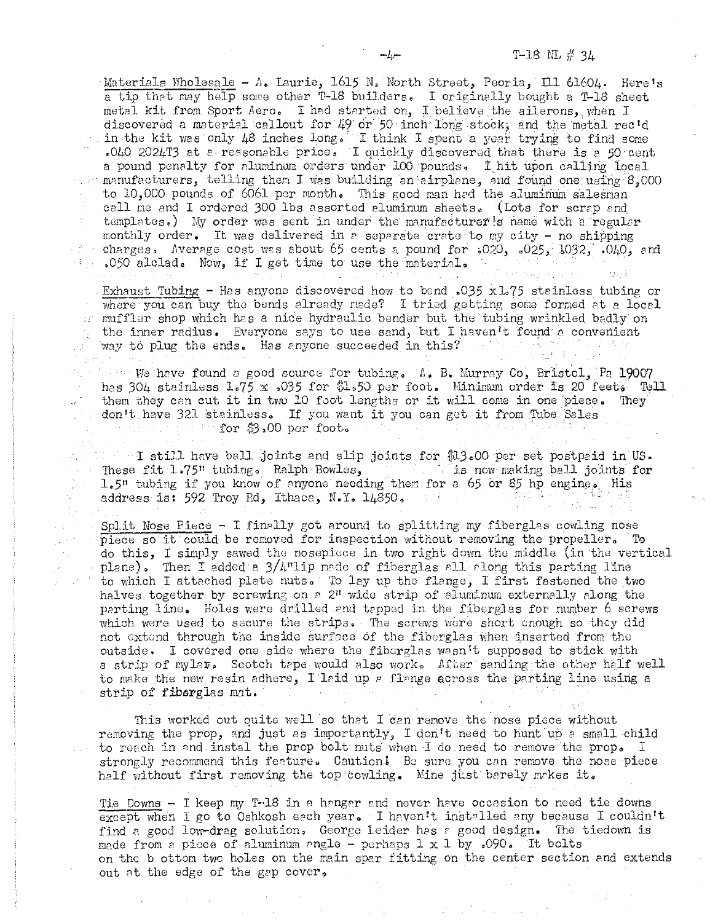Materials Wholesale - A. Laurie, 1615 N. North Street, Peoria, Ill 61604. Here's a tip that may help some other T-18 builders. I originally bought a T-18 sheet metal kit from Sport Aero. I had started on, I believe the ailerons, when I discovered a material callout for 49 or 50 inch long stock, and the metal rec'd in the kit was only 48 inches long. I think I spent a year trying to find some .040 2024T3 at a reasonable price. I quickly discovered that there is a 50 cent a pound penalty for aluminum orders under 100 pounds. I hit upon calling local manufacturers, telling them I was building an airplane, and found one using 8,000 to 10,000 pounds of 6061 per month. This good man hed the aluminum salesman call me and I ordered 300 lbs assorted aluminum sheets. (Lots for scrap and templates.) My order was sent in under the manufacturer's name with a regular monthly order. It was delivered in a separate crate to my city - no shipping charges. Average cost was about 65 cents a pound for  $0.020$ ,  $0.025$ ,  $0.032$ ,  $0.040$ , and 1050 alclad. Now, if I get time to use the material.

Exhaust Tubing - Has anyone discovered how to bend .035 x 1.75 stainless tubing or where you can buy the bends already mede? I tried getting some formed at a local in muffler shop which has a nice hydraulic bender but the tubing wrinkled badly on the inner radius. Everyone says to use sand, but I haven't found a convenient way to plug the ends. Has anyone succeeded in this?

 $\cdots$  we have found a good source for tubing. A. B. Murray Co, Bristol. Pa 19007 has 304 stainless 1.75 x .035 for \$1.50 per foot. Minimum order is 20 feet. Tell them they can cut it in two 10 foot lengths or it will come in one piece. They don't have 321 stainless. If you want it you can get it from Tube Sales the for \$3.00 per foot.

 $\sim$  T still have ball joints and slip joints for \$13.00 per set postpaid in US. These fit 1.75" tubing. Ralph Bowles, which is now making ball joints for 1.5" tubing if you know of anyone needing them for a 65 or 85 hp engine. His address is: 592 Troy Rd, Ithaca, N.Y. 14850.

Split Nose Piece - I finally got around to splitting my fiberglas cowling nose piece so it could be removed for inspection without removing the propeller. To do this, I simply sawed the nosepiece in two right down the middle (in the vertical plane). Then I added a  $3/4$ "lip made of fiberglas all along this parting line to which I attached plate nuts. To lay up the flange, I first fastened the two halves together by screwing on a 2<sup>n</sup> wide strip of aluminum externally along the perting line. Holes were drilled and tapped in the fiberglas for number 6 screws which were used to secure the strips. The screws were short enough so they did not extend through the inside surface of the fiberglas when inserted from the outside. I covered one side where the fiberglas wasn't supposed to stick with a strip of mylar. Scotch tape would also work. After sanding the other half well to make the new resin adhere, I laid up a flange ecross the parting line using a strip of fiberglas mat.

This worked out quite well so that I can remove the nose piece without removing the prop, and just as importantly, I don't need to hunt up a small child to reach in and instal the prop bolt nuts when I do need to remove the prop. I strongly recommend this feature. Caution! Be sure you can remove the nose piece half without first removing the top cowling. Mine just barely makes it.

Tie Downs - I keep my T-18 in a hangar and never have occasion to need tie downs except when I go to Oshkosh each year. I haven't installed any because I couldn't find a good low-drag solution. George Leider has a good design. The tiedown is made from a piece of aluminum angle - perhaps  $1 \times 1$  by .090. It bolts on the b ottom two holes on the main spar fitting on the center section and extends out at the edge of the gap cover.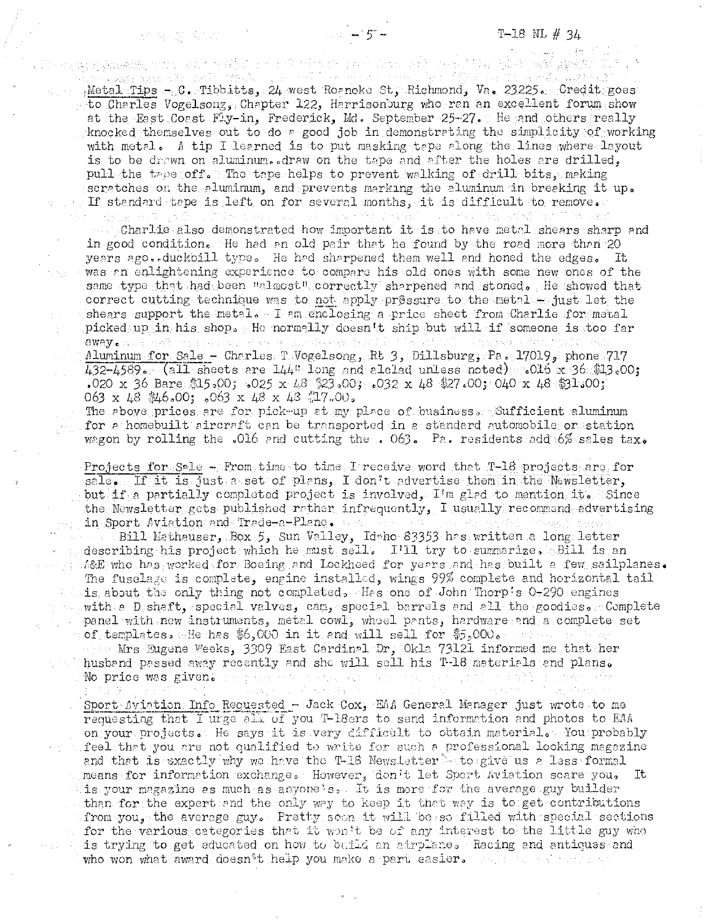$\frac{1}{2} \frac{1}{2} \frac{1}{2} \frac{1}{2} \frac{1}{2} \frac{1}{2} \frac{1}{2} \frac{1}{2}$ Metal Tips - C. Tibbitts, 24 west Roanoke St, Richmond, Va. 23225. Credit goes to Charles Vogelsong, Chapter 122, Harrisonburg who ran an excellent forum show at the East Coast Fly-in, Frederick, Md. September 25-27. He and others really knocked themselves out to do a good job in demonstrating the simplicity of working with metal. A tip I learned is to put masking tape along the lines where layout is to be drawn on aluminum.  $draw$  on the tape and after the holes are drilled, pull the tree off. The tape helps to prevent walking of drill bits, making scratches on the aluminum, and prevents marking the aluminum in breaking it up. If standard tape is left on for several months, it is difficult to renove.

sibile e red fishe pash men nit den bilin bhoi nga pagin

Charlie also demonstrated how important it is to have metal shears sharp and in good condition. He had an old pair that he found by the road more than  $20$ years ago. duckbill type. He had sharpened them well and honed the edges. It was en enlightening experience to compare his old ones with some new ones of the same type that had been Uslmost correctly sharpened and stoned, He showed that correct cutting technique was to not apply pressure to the metals just let the shears support the metal, I am enclosing a price sheet from Charlie for metal picked up in his shop. He normally doesn't ship but will if someone is too far<br>away. The model is the strategy for the state of the strategy of the model cub away. The second second Aluminum for Sale - Charles T Vogelsong, Rt 3, Dillsburg, Pa, 17019, phone 717  $432-4589.$  (all sheets are  $144$ " long and alclad unless noted)  $0.015$  x 36  $*13.00$ ;

.020 x 36 Bare  $$15,00;$  .025 x  $48$   $$23,00;$  .032 x  $48$   $$27,00;$  040 x  $48$   $$1,00;$ 063 x 48 \$46,00; ,063 x 48 x 48 \$17,00. The above prices are for pick-up at my place of business. Sufficient aluminum

for a homebuilt aircraft can be transported in a standard automobile or station wegon by rolling the .016 and cutting the .063. Pa. residents add 6% sales tax.

Projects for Sale - From time to time I receive word that T-18 projects are for  $s$ ale. If it is just a set of plans, I don't advertise them in the Newsletter, but if a partially completed project is involved,  $I<sup>t</sup>$ m glad to mention it, Since the Newsletter gets published rather infrequently, I usually recommend edvertising in Sport Aviation and Trade-a-Plane.

Bill i.Iatheuser, Box 5, Sun V.olley, Idoho 83353 hrs written *e* long letter describing his project which he must sell. I'll try to summarize, Bill is an ia&E who has worked for Boeing and Lockheed for years and has built a few sailplanes. The fuselage is complete, engine installed, wings 99% complete and horizontal tail  $i$  is about the only thing not completed, Has one of John Thorpts 0-290 engines with a D shaft, special valves, can, special barrels and all the goodies. Complete panel with new instruments, metal cowl, whoel pants, hardware and a complete set of templates. He has  $$6,000$  in it and will sell for  $$5,000$   $\ldots$  $\cdot$  ( $\cdot$  Mrs Eugene Veeks, 3309 East Cardinal Dr, Okla 73121 informed me that her husband passed away recently and she will sell his T-18 materials and plans.

No price was given. The mean of

医胸膜 经动产工作

活動技術会社 ココウェー るくえい

Sport Aviation Info Requested - Jack Cox, EAA General Manager just wrote to me requesting that I urge all of you T-18ers to send information and photos to EAA on your projects. He says it is very cifficult to obtain material. You probably feel that you are not qualified to write for such a professional looking magazine and that is sxactly why wa have the T-18 News.Letter sto give us a less formal means for information exchange. However, don't let Sport Aviation scare you. It is your magazine as much as anyone: s, It is more for the average guy builder withan for the expert and the only way to keep it that way is to get contributions from you, the average guy. Pretty soon it will be so filled with special sections for the various categories that it won't be of any interest to the little guy who is trying to get educated on how to build an airplane. Racing and antiques and who won what award doesn't help you make a part easier. Their is reference on

ara the c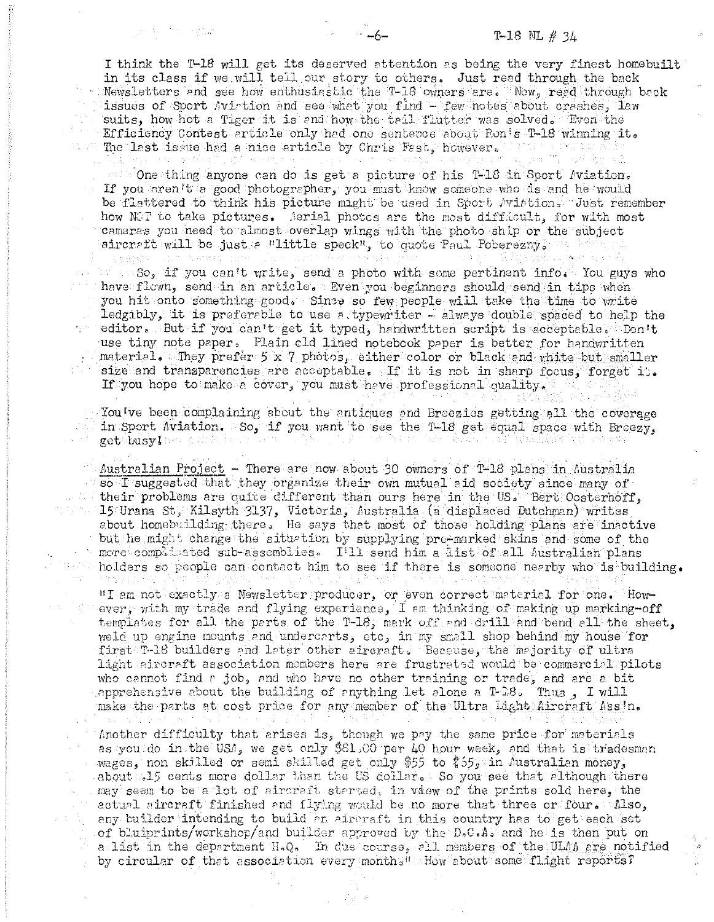## T-18 NL  $# 34$

I think the T-18 will get its deserved attention as being the very finest homebuilt in its class if we will tell our story to others. Just read through the back Newsletters and see how enthusiastic the T-18 owners are. Now, read through back<br>issues of Sport Avirtion and see what you find - few notes about crashes, law suits, how hot a Tiger it is and how the tail flutter was solved. Even the Efficiency Contest article only had one sentence about Ron's T-18 winning it. The last issue had a nice article by Chris Fast, however,

the One thing anyone can do is get a picture of his T-18 in Sport Aviation. If you aren't a good photographer, you must know someone who is and he would be flattered to think his picture might be used in Sport Avistion. Just remember how NOT to take pictures. Aerial photos are the most difficult, for with most cameras you need to almost overlap wings with the photo ship or the subject aircraft will be just a Flittle speck", to quote Paul Poberezny. 全部分的 1 The Calculation

 $\sim$   $\sim$   $\sim$  So, if you can't write, send a photo with some pertinent info. You guys who have flown, send in an article. Even you beginners should send in tips when you hit onto something good. Since so few people will take the time to write ledgibly, it is preferable to use a typewriter - always double spaced to help the a editor. But if you can't get it typed, handwritten script is acceptable. Don't use tiny note paper. Plain old lined notebook paper is better for handwritten material. They prefer 5 x 7 photos, either color or black end white but smaller size and transparencies are acceptable. If it is not in sharp focus, forget it. If you hope to make a cover, you must have professional quality.

Woulve been complaining about the antiques and Breezies getting all the coverage in Sport Aviation. So, if you want to see the T-18 get equal space with Breezy. get busy! has contel

, i a

1주 달라

Mustralian Project - There are now about 30 owners of T-18 plans in Australia so I suggested that they organize their own mutual aid society since many of their problems are quite different than ours here in the US. Bert Oosterhoff, - 15 Urana St; Kilsyth 3137, Victoria, Australia (a displaced Dutchman) writes about homebuilding there. He says that most of those holding plans are inactive but he might change the situation by supplying pre-marked skins and some of the more complisated sub-assemblies. I'll send him a list of all Australian plans holders so people can contact him to see if there is someone nearby who is building.

"I am not exactly a Newsletter producer, or even correct material for one. However, with my trade and flying experience, I am thinking of making up marking-off templates for all the parts of the T-18, mark off and drill and bend all the sheet, weld up engine mounts and undercarts, etc, in my small shop hehind my house for first T-18 builders and later other aircraft. Because, the majority of ultra light aircraft association members here are frustrated would be commercial pilots who cannot find a job, and who have no other training or trade, and are a bit apprehensive about the building of anything let alone a T-B8. Thus, I will make the parts at cost price for any member of the Ultra Light Aircraft Ass'n.

Another difficulty that arises is, though we pay the same price for materials as you do in the USA, we get only \$61.00 per 40 hour week, and that is tradesman wages, non skilled or semi skilled get only \$55 to \$55; in Australian money, about 1315 cents more dollar than the US dollar. So you see that although there may seem to be a lot of aircraft started, in vaew of the prints sold here, the actual aircraft finished and flying would be no more that three or four. Also, any builder intending to build an aircraft in this country has to get each set of bluiprints/workshop/and builder approved by the D.C.A. and he is then put on a list in the department H.Q. In due course, all members of the ULAA are notified by circular of that association every month. Low about some flight reports?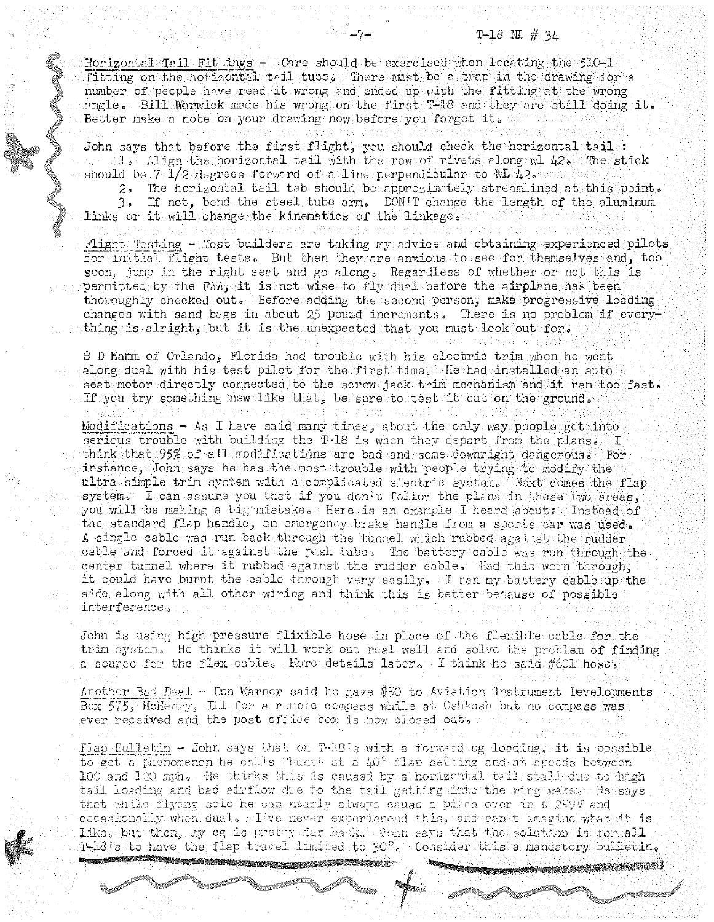$H\text{or}$ izontal  $T\text{ail}$  Fittings - Care should be exercised when locating the 510-1 fitting on the horizontal tail tube. There must be a trap in the drawing for a number of people have read it wrong and ended up with the fitting at the wrong angle. Bill Warwick mode his wrong on the first T-18 and they are still doing it. Better make a note on your drawing now before you forget it.

John says that before the first flight, you should check the horizontal tail : 10 [,lign the horizontal tidl with the row of rivets plong wl *h2.* The stick should be 7 1/2 degrees forward of a line perpendicular to  $W/42$ .

 $2.$  The horizontal tail tab should be approximately streamlined at this point. 3. If not, bend the steel tube arm. DON'T change the length of the aluminum links or it will change the kinematics of the linkage, at

Flight Testing - Most builders are taking my advice and obtaining experienced pilots for initial flight tests. But then they are anxious to see for themselves and, too soon, jump in the right seet and go along, Regardless of whether or not this is permitted by the FM: it is not wise to fly duel before the airplane has been thoroughly checked out. Before adding the second person, make progressive loading changes with sand bags in about 25 pound increments. There is no problem if everything is alright, but it is the unexpected that you must look out for,

B D Hamm of Orlando, Florida had trouble with his electric trim when he went along dual with his test pilot for the first time. He had installed an auto seat motor directly connected to the screw jack trim mechanism and it ran too fast. If you try something new like that, be sure to test it out on the ground.

Modifications - As I have said many times, about the only way people get into serious trouble with building the T-18 is when they depart from the plans. I think that  $95\%$  of all modifications are bad and some down: ight dangerous. For instance, John says he has the most trouble with people trying to modify the ultra simple trim system with a complicated electric system. Next comes the flap system. I can assure you that if you don't follow the plans in these two areas, you will be making a big mistake, Here is an example I heard about: Instead of the standard flap handle, an emergency brake handle from a sports car was used. A single cable was run back through the tunnel which rubbed against the rudder cable and forced it against the pash tube. The battery cable was run through the center turnel where it rubbed against the rudder cable. Had this worn through, it could have burnt the cable through very easily, I ran my battery cable up the side along with all other wiring and think this is better because of possible. interference.

John is using high pressure flixible hose in place of the flexible cable for the trim system. He thinks it will work out real well and solve the problem of finding a source for the flex cable. More details later, I think he said #601 hose,

Another Bad Deal - Don Warner said he gave \$50 to Aviation Instrument Developments Box 575; McHenry, Ill for a remote compass while at Oshkosh but no compass was ever reseived and the post office box is now closed out,

Fiap Bulletin - John says that on T-18 s with a forward og loeding, it is possible to get a phenomenon he calls "bent" at a  $\mu$ <sup>c</sup>-flap setting and at speeds between 100 and 120 mph. He thirks this is caused by a horizontal tail stall due to high tail loading and bad airflow due to the tail getting into the wing wakes a He says that while flying solo he can nearly always cause a pitch over in N 299V and occasionolly when dual. Tive never experienced this, and can it imagine what it is like, but then, by cg is pretty far bank. Sonn says that the solution is for all. T-18's to have the flap travel limited to 30°. Consider this a mandatory pulleting

"u;aatt!hlll5d £ i&£2WUtJllll "\$!\!~[? ;:z~~~. IS' *""""--i.t* hI W:"kU>\_JJ~~~~.-j'

 $\int$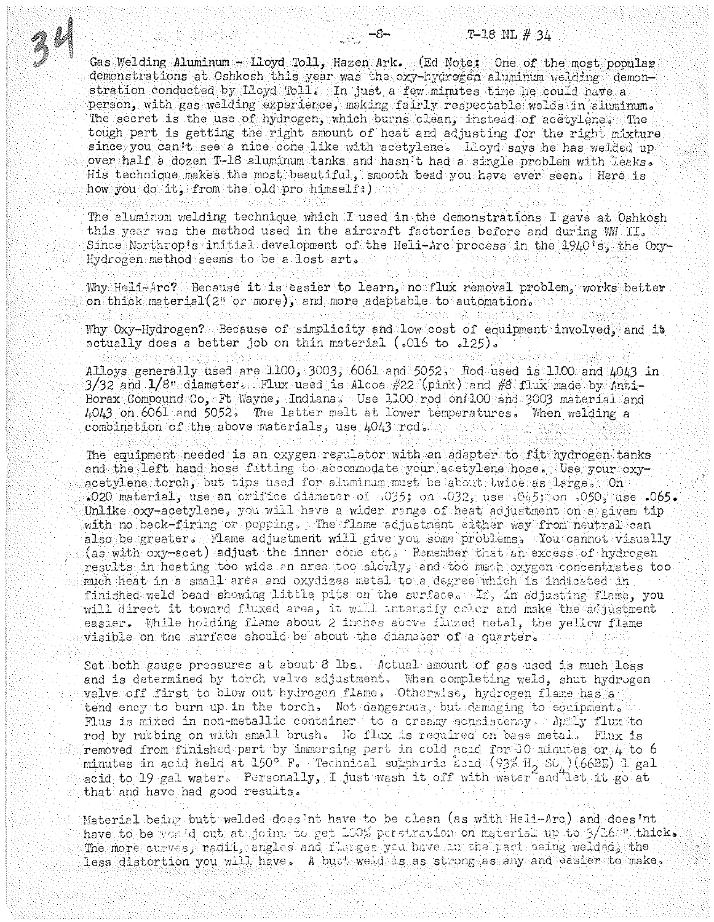Gas Welding Aluminum - Lloyd Toll, Hazen Ark. (Ed Note; One of the most popular demonstrations at Oshkosh this year was the oxy-hydrogen aluminum weiding demonstration conducted by Lloyd Toll. In just a few minutes time he could have a person, with gas welding experience, making fairly respectable welds in aluminum. The secret is the use of hydrogen, which burns clean, instead of acetylenes. The tough part is getting the right amount of heat and adjusting for the right mixture since you can't see a nice cone like with acetylene. Lloyd says he has welded up over half a dozen T-18 aluminum tanks and hasn't had a single problem with leaks. His technique makes the most beautiful. smooth bead you have ever seen. Here is how you do it. from the old pro himself; ) neses kapat 実に見てやった 試算 ごろな はばく

 $-8-$ 

The aluminum welding technique which I used in the demonstrations I gave at Oshkosh this year was the method used in the aircraft factories before and during WM II. Since Northrop's initial development of the Heli-Arc process in the 1940's, the Oxy-Hydrogen method seems to be a lost art. All and

Why Heli-Arc? Because it is easier to learn, no flux removal problem, works better on thick material (2" or more), and more adaptable to automation.

그대는 손

사회소

wander the affects of think there Why Oxy-Hydrogen? Because of simplicity and low cost of equipment involved, and it actually does a better job on thin material (.016 to .125).

bah penda unit di sebagai d Alloys generally used are  $1100, 3003, 6061$  and  $5052$ . Rod used  $1s$  100 and  $10h3$  in  $3/32$  and  $1/8$  diameter. Thux used is Alcoa  $\#22$  (pink) and  $\#8$  flux made by Anti-Borax Compound Co, Ft Wayne, Indiana, Use 1100 rod on 100 and 3003 material and 4043 on 6061 and 5052. The latter melt at lower temperatures. When welding a combination of the above materials, use 4043 rod. An exploring research

The equipment needed is an oxygen regulator with an adapter to fit hydrogen tanks and the left hand hose fitting to accommodate your acetylene hose. Use your oxyacetylene torch, but tips used for aluminum must be about twice as large. On .020 material, use an orifice diameter of  $.035$ ; on  $.032$ , use  $.045$ ; on  $.050$ , use  $.065$ . Unlike oxy-acetylene, you will have a wider range of heat adjustment on a given tip with no back-firing or popping. The flame adjustment either way from neutral can also be greater. Mame adjustment will give you some problems. You cannot visually (as with oxy-acet) adjust the inner cone etc. Remember that an excess of hydrogen results in heating too wide an area too slowly, and too mech oxygen concentrates too. much heat in a small area and oxydizes metal to a degree which is indicated in finished weld bead showing little pits on the surface. If, in adjusting flame, you will direct it toward fluxed area, it will intensify color and make the adjustment easier. While holding flame about 2 inches above fluzed netal, the yellow flame  ${\tt visible}$  on the surface should be about the diamater of a quarter. 机绝 化石炭酸 Set both gauge pressures at about 8 lbs. Actual amount of gas used is much less and is determined by torch valve adjustment. When completing weld, shut hydrogen walve off first to olow out hydrogen flame. Otherwise, hydrogen flame has a tend ency to burn up in the torch. Not dangerous, but demaging to ecuipments Flus is mixed in non-metallic container to a creamy sonsistency. Apply flux to rod by rutbing on with small brush. No flux is required on base metal. Flux is removed from finished part by immersing part in cold acid for 10 minutes or 4 to 6 minutes in acid held at  $150^{\circ}$  F. Technical supphuric abid (93% H<sub>2</sub> SO<sub>0</sub>) (66BE) 1 gal acid to 19 gal water. Personally, I just wash it off with water and let it go at that and have had good results.

Material being butt welded does int have to be clean (as with Heli-Arc) and does int have to be veste out at joint to get 100% perstration on material up to 3/16: Mithicks. The more curves, radii, angles and flarges you have in the part being welded, the less distortion you will have. A but weld is as strong as any and easier to make.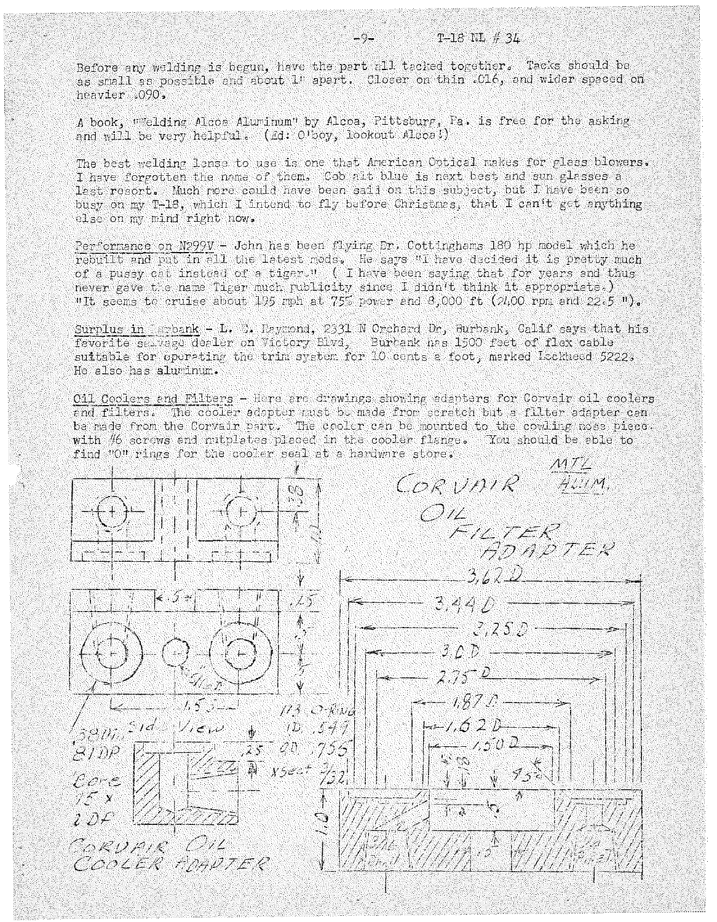Before any welding is begun, have the part all tacked together. Tacks should be as small as possible and about 1" apart. Closer on thin . C16, and wider spaced on heavier .090,

A book, "Welding Alcoa Aluminum" by Alcoa, Pittsburg, Fa. is free for the asking and will be very helpful. (Ed: O'boy, lookout Alcca!)

The best welding lanse to use is one that American Optical makes for glass blowers. I have forgotten the name of them. Cob alt blue is next best and sun glasses a lest resort. Much nore could have been said on this subject, but I have been so busy on my T-18, which I intend to fly before Christnes, that I can't get anything else on my mind right now.

Performance on N299V - John has been flying Dr. Cottinghams 180 hp model which he rebuilt and put in all the latest mods. He says "I have decided it is pretty much of a pussy cat instead of a tiger." ( I have been saying that for years and thus never gave the name Tiger much publicity since I didn't think it appropriate.) "It seems to cruise about 195 mph at 75% power and 8,000 ft (2400 rpm and 22.5 ").

Surplus in Durbank - L. B. Reymond, 2331 N Orchard Dr, Burbank, Calif says that his favorite seavage dealer on Victory Blvd, Burbank has 1500 feet of flex cable suitable for operating the trim system for 10 cents a foot, marked Lockheed 5222. He also has aluminum.

Oil Coolers and Filters - Here are drawings showing adapters for Corvair oil coolers and filters. The cooler adapter must be made from scratch but a filter adapter can be made from the Corvair part. The cooler can be mounted to the cowling nose piece. with #6 scrows and nutplates placed in the cooler flange. You should be able to find "O" rings for the cooler seal at a hardware store.